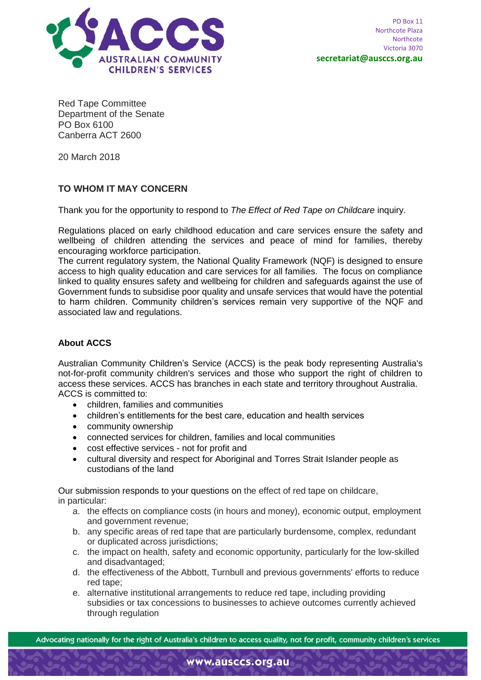

**Red Tape Committee Department of the Senate PO Box 6100 Canberra ACT 2600**

**20 March 2018**

### **TO WHOM IT MAY CONCERN**

Thank you for the opportunity to respond to *The Effect of Red Tape on Childcare* inquiry.

Regulations placed on early childhood education and care services ensure the safety and wellbeing of children attending the services and peace of mind for families, thereby encouraging workforce participation.

The current regulatory system, the National Quality Framework (NQF) is designed to ensure access to high quality education and care services for all families. The focus on compliance linked to quality ensures safety and wellbeing for children and safeguards against the use of Government funds to subsidise poor quality and unsafe services that would have the potential to harm children. Community children's services remain very supportive of the NQF and associated law and regulations.

### **About ACCS**

Australian Community Children's Service (ACCS) is the peak body representing Australia's not-for-profit community children's services and those who support the right of children to access these services. ACCS has branches in each state and territory throughout Australia. ACCS is committed to:

- children, families and communities
- children's entitlements for the best care, education and health services
- community ownership
- connected services for children, families and local communities
- cost effective services not for profit and
- cultural diversity and respect for Aboriginal and Torres Strait Islander people as custodians of the land

Our submission responds to your questions on the effect of red tape on childcare, in particular:

- a. the effects on compliance costs (in hours and money), economic output, employment and government revenue;
- b. any specific areas of red tape that are particularly burdensome, complex, redundant or duplicated across jurisdictions;
- c. the impact on health, safety and economic opportunity, particularly for the low-skilled and disadvantaged;
- d. the effectiveness of the Abbott, Turnbull and previous governments' efforts to reduce red tape;
- e. alternative institutional arrangements to reduce red tape, including providing subsidies or tax concessions to businesses to achieve outcomes currently achieved through regulation

Advocating nationally for the right of Australia's children to access quality, not for profit, community children's services

www.ausccs.org.au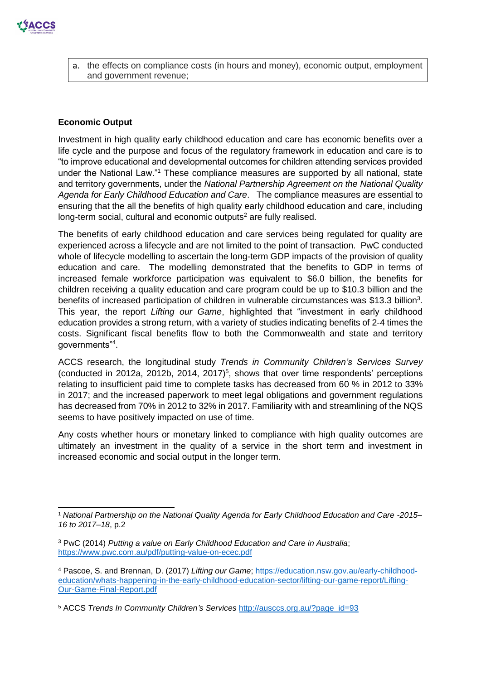

a. the effects on compliance costs (in hours and money), economic output, employment and government revenue;

#### **Economic Output**

-

Investment in high quality early childhood education and care has economic benefits over a life cycle and the purpose and focus of the regulatory framework in education and care is to "to improve educational and developmental outcomes for children attending services provided under the National Law."<sup>1</sup> These compliance measures are supported by all national, state and territory governments, under the *National Partnership Agreement on the National Quality Agenda for Early Childhood Education and Care*. The compliance measures are essential to ensuring that the all the benefits of high quality early childhood education and care, including long-term social, cultural and economic outputs<sup>2</sup> are fully realised.

The benefits of early childhood education and care services being regulated for quality are experienced across a lifecycle and are not limited to the point of transaction. PwC conducted whole of lifecycle modelling to ascertain the long-term GDP impacts of the provision of quality education and care. The modelling demonstrated that the benefits to GDP in terms of increased female workforce participation was equivalent to \$6.0 billion, the benefits for children receiving a quality education and care program could be up to \$10.3 billion and the benefits of increased participation of children in vulnerable circumstances was \$13.3 billion<sup>3</sup>. This year, the report *Lifting our Game*, highlighted that "investment in early childhood education provides a strong return, with a variety of studies indicating benefits of 2-4 times the costs. Significant fiscal benefits flow to both the Commonwealth and state and territory governments"<sup>4</sup> .

ACCS research, the longitudinal study *Trends in Community Children's Services Survey* (conducted in 2012a, 2012b, 2014, 2017)<sup>5</sup>, shows that over time respondents' perceptions relating to insufficient paid time to complete tasks has decreased from 60 % in 2012 to 33% in 2017; and the increased paperwork to meet legal obligations and government regulations has decreased from 70% in 2012 to 32% in 2017. Familiarity with and streamlining of the NQS seems to have positively impacted on use of time.

Any costs whether hours or monetary linked to compliance with high quality outcomes are ultimately an investment in the quality of a service in the short term and investment in increased economic and social output in the longer term.

<sup>1</sup> *National Partnership on the National Quality Agenda for Early Childhood Education and Care -2015– 16 to 2017–18*, p.2

<sup>3</sup> PwC (2014) *Putting a value on Early Childhood Education and Care in Australia*; <https://www.pwc.com.au/pdf/putting-value-on-ecec.pdf>

<sup>4</sup> Pascoe, S. and Brennan, D. (2017) *Lifting our Game*; [https://education.nsw.gov.au/early-childhood](https://education.nsw.gov.au/early-childhood-education/whats-happening-in-the-early-childhood-education-sector/lifting-our-game-report/Lifting-Our-Game-Final-Report.pdf)[education/whats-happening-in-the-early-childhood-education-sector/lifting-our-game-report/Lifting-](https://education.nsw.gov.au/early-childhood-education/whats-happening-in-the-early-childhood-education-sector/lifting-our-game-report/Lifting-Our-Game-Final-Report.pdf)[Our-Game-Final-Report.pdf](https://education.nsw.gov.au/early-childhood-education/whats-happening-in-the-early-childhood-education-sector/lifting-our-game-report/Lifting-Our-Game-Final-Report.pdf)

<sup>5</sup> ACCS *Trends In Community Children's Services* [http://ausccs.org.au/?page\\_id=93](http://ausccs.org.au/?page_id=93)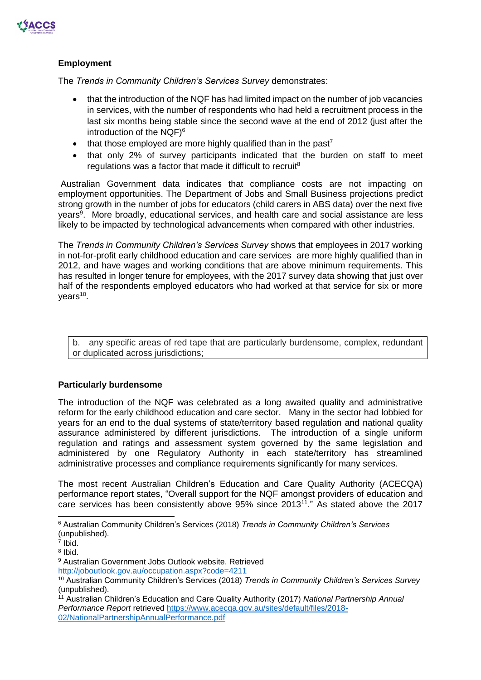

# **Employment**

The *Trends in Community Children's Services Survey* demonstrates:

- that the introduction of the NQF has had limited impact on the number of job vacancies in services, with the number of respondents who had held a recruitment process in the last six months being stable since the second wave at the end of 2012 (just after the introduction of the NQF) 6
- that those employed are more highly qualified than in the past<sup>7</sup>
- that only 2% of survey participants indicated that the burden on staff to meet regulations was a factor that made it difficult to recruit<sup>8</sup>

Australian Government data indicates that compliance costs are not impacting on employment opportunities. The Department of Jobs and Small Business projections predict strong growth in the number of jobs for educators (child carers in ABS data) over the next five years<sup>9</sup>. More broadly, educational services, and health care and social assistance are less likely to be impacted by technological advancements when compared with other industries.

The *Trends in Community Children's Services Survey* shows that employees in 2017 working in not-for-profit early childhood education and care services are more highly qualified than in 2012, and have wages and working conditions that are above minimum requirements. This has resulted in longer tenure for employees, with the 2017 survey data showing that just over half of the respondents employed educators who had worked at that service for six or more years<sup>10</sup>.

b. any specific areas of red tape that are particularly burdensome, complex, redundant or duplicated across jurisdictions;

# **Particularly burdensome**

The introduction of the NQF was celebrated as a long awaited quality and administrative reform for the early childhood education and care sector. Many in the sector had lobbied for years for an end to the dual systems of state/territory based regulation and national quality assurance administered by different jurisdictions. The introduction of a single uniform regulation and ratings and assessment system governed by the same legislation and administered by one Regulatory Authority in each state/territory has streamlined administrative processes and compliance requirements significantly for many services.

The most recent Australian Children's Education and Care Quality Authority (ACECQA) performance report states, "Overall support for the NQF amongst providers of education and care services has been consistently above 95% since 2013<sup>11</sup>." As stated above the 2017

-

<sup>6</sup> Australian Community Children's Services (2018) *Trends in Community Children's Services* (unpublished).

<sup>7</sup> Ibid.

<sup>8</sup> Ibid.

<sup>9</sup> Australian Government Jobs Outlook website. Retrieved <http://joboutlook.gov.au/occupation.aspx?code=4211>

<sup>10</sup> Australian Community Children's Services (2018) *Trends in Community Children's Services Survey* (unpublished).

<sup>11</sup> Australian Children's Education and Care Quality Authority (2017) *National Partnership Annual Performance Report* retrieved [https://www.acecqa.gov.au/sites/default/files/2018-](https://www.acecqa.gov.au/sites/default/files/2018-02/NationalPartnershipAnnualPerformance.pdf) [02/NationalPartnershipAnnualPerformance.pdf](https://www.acecqa.gov.au/sites/default/files/2018-02/NationalPartnershipAnnualPerformance.pdf)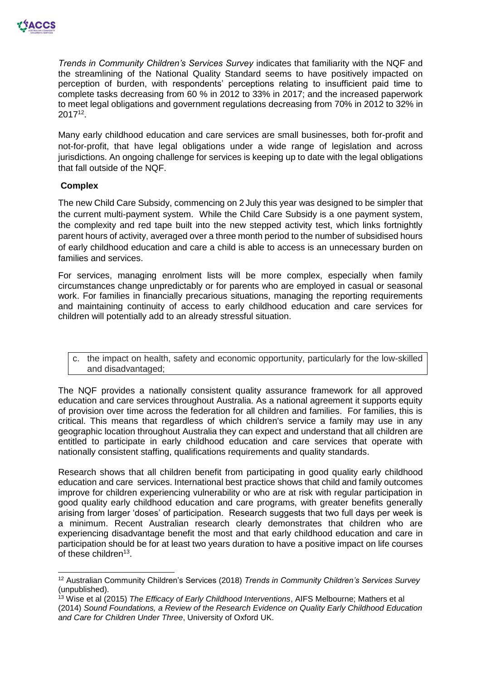

*Trends in Community Children's Services Survey* indicates that familiarity with the NQF and the streamlining of the National Quality Standard seems to have positively impacted on perception of burden, with respondents' perceptions relating to insufficient paid time to complete tasks decreasing from 60 % in 2012 to 33% in 2017; and the increased paperwork to meet legal obligations and government regulations decreasing from 70% in 2012 to 32% in 2017<sup>12</sup> .

Many early childhood education and care services are small businesses, both for-profit and not-for-profit, that have legal obligations under a wide range of legislation and across jurisdictions. An ongoing challenge for services is keeping up to date with the legal obligations that fall outside of the NQF.

#### **Complex**

 $\overline{a}$ 

The new Child Care Subsidy, commencing on 2 July this year was designed to be simpler that the current multi-payment system. While the Child Care Subsidy is a one payment system, the complexity and red tape built into the new stepped activity test, which links fortnightly parent hours of activity, averaged over a three month period to the number of subsidised hours of early childhood education and care a child is able to access is an unnecessary burden on families and services.

For services, managing enrolment lists will be more complex, especially when family circumstances change unpredictably or for parents who are employed in casual or seasonal work. For families in financially precarious situations, managing the reporting requirements and maintaining continuity of access to early childhood education and care services for children will potentially add to an already stressful situation.

c. the impact on health, safety and economic opportunity, particularly for the low-skilled and disadvantaged;

The NQF provides a nationally consistent quality assurance framework for all approved education and care services throughout Australia. As a national agreement it supports equity of provision over time across the federation for all children and families. For families, this is critical. This means that regardless of which children's service a family may use in any geographic location throughout Australia they can expect and understand that all children are entitled to participate in early childhood education and care services that operate with nationally consistent staffing, qualifications requirements and quality standards.

Research shows that all children benefit from participating in good quality early childhood education and care services. International best practice shows that child and family outcomes improve for children experiencing vulnerability or who are at risk with regular participation in good quality early childhood education and care programs, with greater benefits generally arising from larger 'doses' of participation. Research suggests that two full days per week is a minimum. Recent Australian research clearly demonstrates that children who are experiencing disadvantage benefit the most and that early childhood education and care in participation should be for at least two years duration to have a positive impact on life courses of these children<sup>13</sup>.

<sup>12</sup> Australian Community Children's Services (2018) *Trends in Community Children's Services Survey* (unpublished).

<sup>13</sup> Wise et al (2015) *The Efficacy of Early Childhood Interventions*, AIFS Melbourne; Mathers et al (2014) *Sound Foundations, a Review of the Research Evidence on Quality Early Childhood Education and Care for Children Under Three*, University of Oxford UK.